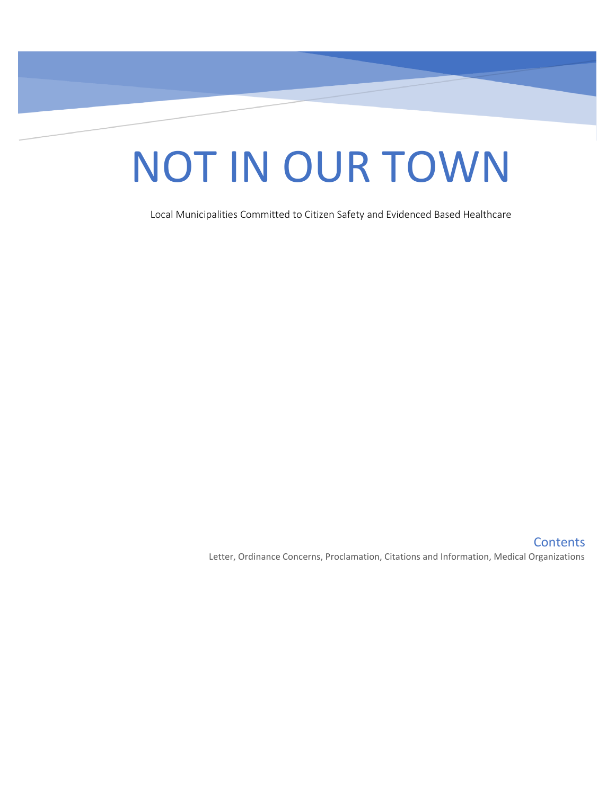# NOT IN OUR TOWN

Local Municipalities Committed to Citizen Safety and Evidenced Based Healthcare

**Contents** Letter, Ordinance Concerns, Proclamation, Citations and Information, Medical Organizations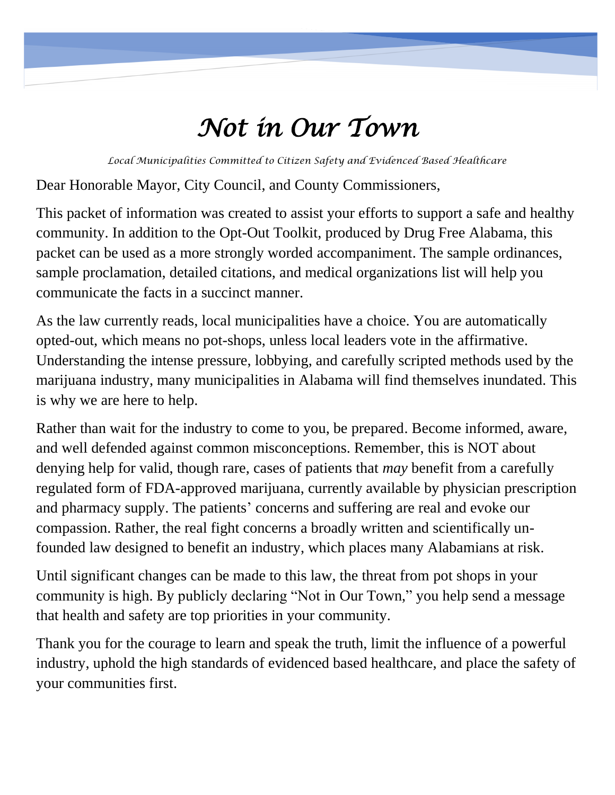## *Not in Our Town*

*Local Municipalities Committed to Citizen Safety and Evidenced Based Healthcare*

Dear Honorable Mayor, City Council, and County Commissioners,

This packet of information was created to assist your efforts to support a safe and healthy community. In addition to the Opt-Out Toolkit, produced by Drug Free Alabama, this packet can be used as a more strongly worded accompaniment. The sample ordinances, sample proclamation, detailed citations, and medical organizations list will help you communicate the facts in a succinct manner.

As the law currently reads, local municipalities have a choice. You are automatically opted-out, which means no pot-shops, unless local leaders vote in the affirmative. Understanding the intense pressure, lobbying, and carefully scripted methods used by the marijuana industry, many municipalities in Alabama will find themselves inundated. This is why we are here to help.

Rather than wait for the industry to come to you, be prepared. Become informed, aware, and well defended against common misconceptions. Remember, this is NOT about denying help for valid, though rare, cases of patients that *may* benefit from a carefully regulated form of FDA-approved marijuana, currently available by physician prescription and pharmacy supply. The patients' concerns and suffering are real and evoke our compassion. Rather, the real fight concerns a broadly written and scientifically unfounded law designed to benefit an industry, which places many Alabamians at risk.

Until significant changes can be made to this law, the threat from pot shops in your community is high. By publicly declaring "Not in Our Town," you help send a message that health and safety are top priorities in your community.

Thank you for the courage to learn and speak the truth, limit the influence of a powerful industry, uphold the high standards of evidenced based healthcare, and place the safety of your communities first.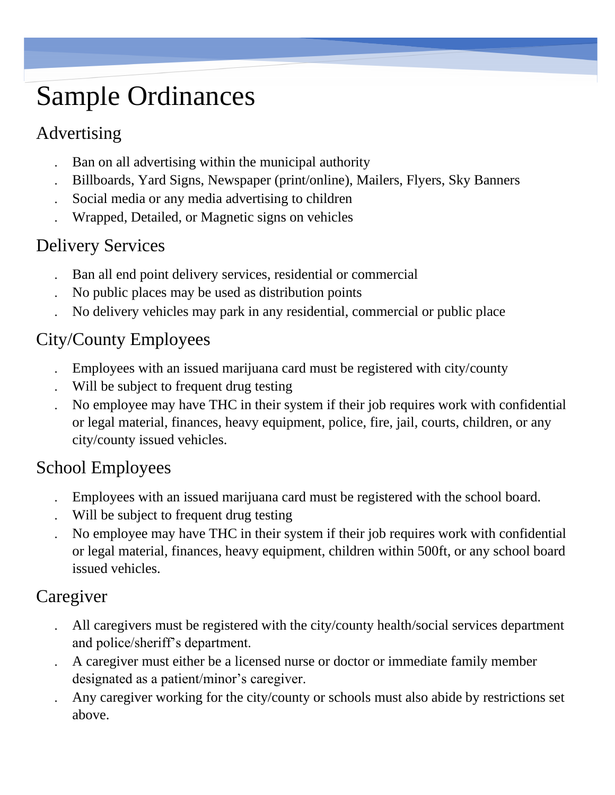## Sample Ordinances

## Advertising

- Ban on all advertising within the municipal authority
- Billboards, Yard Signs, Newspaper (print/online), Mailers, Flyers, Sky Banners
- Social media or any media advertising to children
- Wrapped, Detailed, or Magnetic signs on vehicles

## Delivery Services

- Ban all end point delivery services, residential or commercial
- No public places may be used as distribution points
- No delivery vehicles may park in any residential, commercial or public place

## City/County Employees

- Employees with an issued marijuana card must be registered with city/county
- Will be subject to frequent drug testing
- No employee may have THC in their system if their job requires work with confidential or legal material, finances, heavy equipment, police, fire, jail, courts, children, or any city/county issued vehicles.

## School Employees

- Employees with an issued marijuana card must be registered with the school board.
- Will be subject to frequent drug testing
- No employee may have THC in their system if their job requires work with confidential or legal material, finances, heavy equipment, children within 500ft, or any school board issued vehicles.

## Caregiver

- All caregivers must be registered with the city/county health/social services department and police/sheriff's department.
- A caregiver must either be a licensed nurse or doctor or immediate family member designated as a patient/minor's caregiver.
- Any caregiver working for the city/county or schools must also abide by restrictions set above.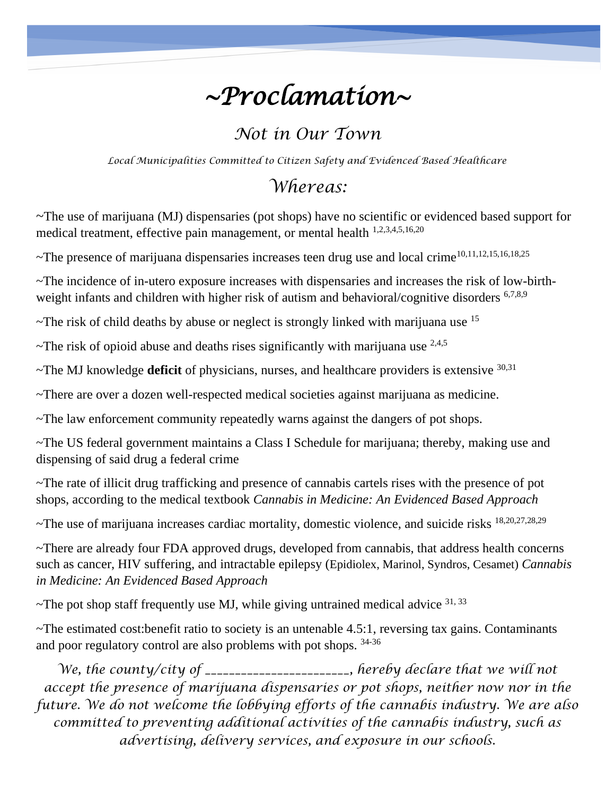## *~Proclamation~*

## *Not in Our Town*

*Local Municipalities Committed to Citizen Safety and Evidenced Based Healthcare*

## *Whereas:*

~The use of marijuana (MJ) dispensaries (pot shops) have no scientific or evidenced based support for medical treatment, effective pain management, or mental health 1,2,3,4,5,16,20

~The presence of marijuana dispensaries increases teen drug use and local crime<sup>10,11,12,15,16,18,25</sup>

~The incidence of in-utero exposure increases with dispensaries and increases the risk of low-birthweight infants and children with higher risk of autism and behavioral/cognitive disorders <sup>6,7,8,9</sup>

 $\sim$ The risk of child deaths by abuse or neglect is strongly linked with marijuana use  $^{15}$ 

 $\sim$ The risk of opioid abuse and deaths rises significantly with marijuana use  $^{2,4,5}$ 

~The MJ knowledge **deficit** of physicians, nurses, and healthcare providers is extensive 30,31

~There are over a dozen well-respected medical societies against marijuana as medicine.

~The law enforcement community repeatedly warns against the dangers of pot shops.

~The US federal government maintains a Class I Schedule for marijuana; thereby, making use and dispensing of said drug a federal crime

~The rate of illicit drug trafficking and presence of cannabis cartels rises with the presence of pot shops, according to the medical textbook *Cannabis in Medicine: An Evidenced Based Approach*

~The use of marijuana increases cardiac mortality, domestic violence, and suicide risks 18,20,27,28,29

~There are already four FDA approved drugs, developed from cannabis, that address health concerns such as cancer, HIV suffering, and intractable epilepsy (Epidiolex, Marinol, Syndros, Cesamet) *Cannabis in Medicine: An Evidenced Based Approach*

 $\sim$ The pot shop staff frequently use MJ, while giving untrained medical advice  $31,33$ 

~The estimated cost:benefit ratio to society is an untenable 4.5:1, reversing tax gains. Contaminants and poor regulatory control are also problems with pot shops. 34-36

We, the county/city of \_\_\_\_\_\_\_\_\_\_\_\_\_\_\_\_\_\_\_\_, hereby declare that we will not *accept the presence of marijuana dispensaries or pot shops, neither now nor in the future. We do not welcome the lobbying efforts of the cannabis industry. We are also committed to preventing additional activities of the cannabis industry, such as advertising, delivery services, and exposure in our schools.*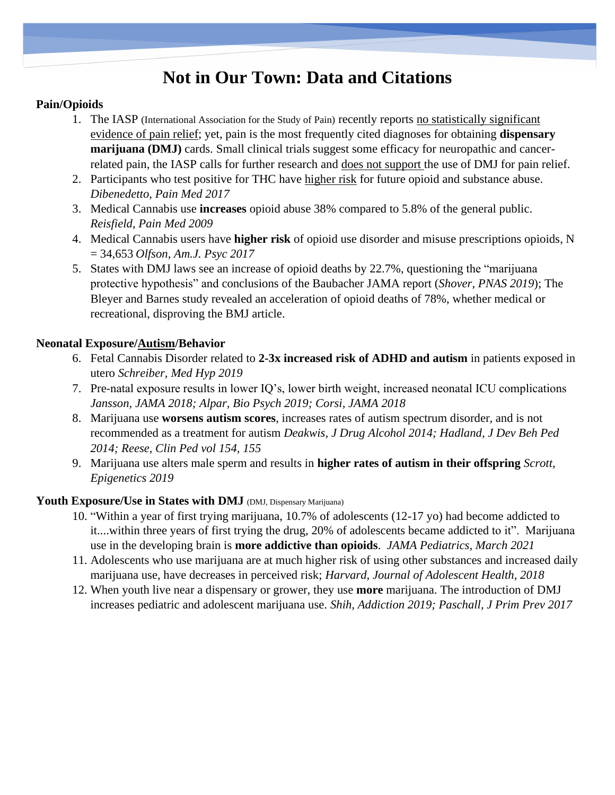## **Not in Our Town: Data and Citations**

### **Pain/Opioids**

- 1. The IASP (International Association for the Study of Pain) recently reports no statistically significant evidence of pain relief; yet, pain is the most frequently cited diagnoses for obtaining **dispensary marijuana (DMJ)** cards. Small clinical trials suggest some efficacy for neuropathic and cancerrelated pain, the IASP calls for further research and does not support the use of DMJ for pain relief.
- 2. Participants who test positive for THC have higher risk for future opioid and substance abuse. *Dibenedetto, Pain Med 2017*
- 3. Medical Cannabis use **increases** opioid abuse 38% compared to 5.8% of the general public. *Reisfield, Pain Med 2009*
- 4. Medical Cannabis users have **higher risk** of opioid use disorder and misuse prescriptions opioids, N = 34,653 *Olfson, Am.J. Psyc 2017*
- 5. States with DMJ laws see an increase of opioid deaths by 22.7%, questioning the "marijuana protective hypothesis" and conclusions of the Baubacher JAMA report (*Shover, PNAS 2019*); The Bleyer and Barnes study revealed an acceleration of opioid deaths of 78%, whether medical or recreational, disproving the BMJ article.

### **Neonatal Exposure/Autism/Behavior**

- 6. Fetal Cannabis Disorder related to **2-3x increased risk of ADHD and autism** in patients exposed in utero *Schreiber, Med Hyp 2019*
- 7. Pre-natal exposure results in lower IQ's, lower birth weight, increased neonatal ICU complications *Jansson, JAMA 2018; Alpar, Bio Psych 2019; Corsi, JAMA 2018*
- 8. Marijuana use **worsens autism scores**, increases rates of autism spectrum disorder, and is not recommended as a treatment for autism *Deakwis, J Drug Alcohol 2014; Hadland, J Dev Beh Ped 2014; Reese, Clin Ped vol 154, 155*
- 9. Marijuana use alters male sperm and results in **higher rates of autism in their offspring** *Scrott, Epigenetics 2019*

### Youth Exposure/Use in States with DMJ (DMJ, Dispensary Marijuana)

- 10. "Within a year of first trying marijuana, 10.7% of adolescents (12-17 yo) had become addicted to it....within three years of first trying the drug, 20% of adolescents became addicted to it". Marijuana use in the developing brain is **more addictive than opioids**. *JAMA Pediatrics, March 2021*
- 11. Adolescents who use marijuana are at much higher risk of using other substances and increased daily marijuana use, have decreases in perceived risk; *Harvard, Journal of Adolescent Health, 2018*
- 12. When youth live near a dispensary or grower, they use **more** marijuana. The introduction of DMJ increases pediatric and adolescent marijuana use. *Shih, Addiction 2019; Paschall, J Prim Prev 2017*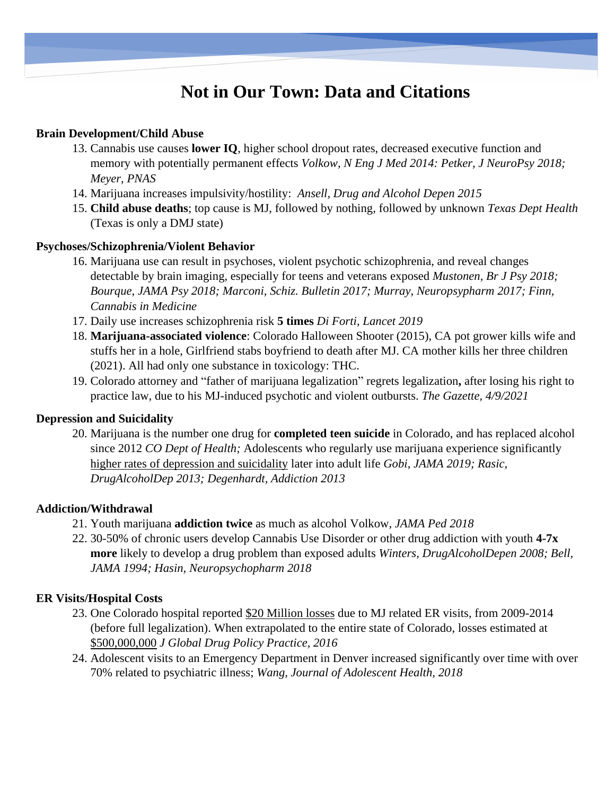## **Not in Our Town: Data and Citations**

#### **Brain Development/Child Abuse**

- 13. Cannabis use causes **lower IQ**, higher school dropout rates, decreased executive function and memory with potentially permanent effects *Volkow, N Eng J Med 2014: Petker, J NeuroPsy 2018; Meyer, PNAS*
- 14. Marijuana increases impulsivity/hostility: *Ansell, Drug and Alcohol Depen 2015*
- 15. **Child abuse deaths**; top cause is MJ, followed by nothing, followed by unknown *Texas Dept Health* (Texas is only a DMJ state)

### **Psychoses/Schizophrenia/Violent Behavior**

- 16. Marijuana use can result in psychoses, violent psychotic schizophrenia, and reveal changes detectable by brain imaging, especially for teens and veterans exposed *Mustonen, Br J Psy 2018; Bourque, JAMA Psy 2018; Marconi, Schiz. Bulletin 2017; Murray, Neuropsypharm 2017; Finn, Cannabis in Medicine*
- 17. Daily use increases schizophrenia risk **5 times** *Di Forti, Lancet 2019*
- 18. **Marijuana-associated violence**: Colorado Halloween Shooter (2015), CA pot grower kills wife and stuffs her in a hole, Girlfriend stabs boyfriend to death after MJ. CA mother kills her three children (2021). All had only one substance in toxicology: THC.
- 19. Colorado attorney and "father of marijuana legalization" regrets legalization**,** after losing his right to practice law, due to his MJ-induced psychotic and violent outbursts. *The Gazette, 4/9/2021*

### **Depression and Suicidality**

20. Marijuana is the number one drug for **completed teen suicide** in Colorado, and has replaced alcohol since 2012 *CO Dept of Health;* Adolescents who regularly use marijuana experience significantly higher rates of depression and suicidality later into adult life *Gobi, JAMA 2019; Rasic, DrugAlcoholDep 2013; Degenhardt, Addiction 2013*

### **Addiction/Withdrawal**

- 21. Youth marijuana **addiction twice** as much as alcohol Volkow, *JAMA Ped 2018*
- 22. 30-50% of chronic users develop Cannabis Use Disorder or other drug addiction with youth **4-7x more** likely to develop a drug problem than exposed adults *Winters, DrugAlcoholDepen 2008; Bell, JAMA 1994; Hasin, Neuropsychopharm 2018*

### **ER Visits/Hospital Costs**

- 23. One Colorado hospital reported \$20 Million losses due to MJ related ER visits, from 2009-2014 (before full legalization). When extrapolated to the entire state of Colorado, losses estimated at \$500,000,000 *J Global Drug Policy Practice, 2016*
- 24. Adolescent visits to an Emergency Department in Denver increased significantly over time with over 70% related to psychiatric illness; *Wang, Journal of Adolescent Health, 2018*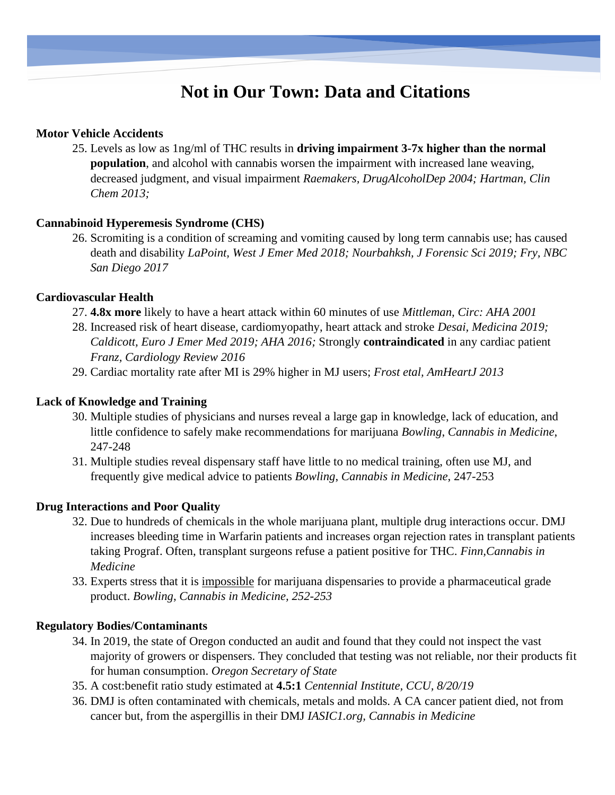## **Not in Our Town: Data and Citations**

#### **Motor Vehicle Accidents**

25. Levels as low as 1ng/ml of THC results in **driving impairment 3-7x higher than the normal population**, and alcohol with cannabis worsen the impairment with increased lane weaving, decreased judgment, and visual impairment *Raemakers, DrugAlcoholDep 2004; Hartman, Clin Chem 2013;* 

#### **Cannabinoid Hyperemesis Syndrome (CHS)**

26. Scromiting is a condition of screaming and vomiting caused by long term cannabis use; has caused death and disability *LaPoint, West J Emer Med 2018; Nourbahksh, J Forensic Sci 2019; Fry, NBC San Diego 2017*

#### **Cardiovascular Health**

- 27. **4.8x more** likely to have a heart attack within 60 minutes of use *Mittleman, Circ: AHA 2001*
- 28. Increased risk of heart disease, cardiomyopathy, heart attack and stroke *Desai, Medicina 2019; Caldicott, Euro J Emer Med 2019; AHA 2016;* Strongly **contraindicated** in any cardiac patient *Franz, Cardiology Review 2016*
- 29. Cardiac mortality rate after MI is 29% higher in MJ users; *Frost etal, AmHeartJ 2013*

### **Lack of Knowledge and Training**

- 30. Multiple studies of physicians and nurses reveal a large gap in knowledge, lack of education, and little confidence to safely make recommendations for marijuana *Bowling*, *Cannabis in Medicine*, 247-248
- 31. Multiple studies reveal dispensary staff have little to no medical training, often use MJ, and frequently give medical advice to patients *Bowling*, *Cannabis in Medicine*, 247-253

#### **Drug Interactions and Poor Quality**

- 32. Due to hundreds of chemicals in the whole marijuana plant, multiple drug interactions occur. DMJ increases bleeding time in Warfarin patients and increases organ rejection rates in transplant patients taking Prograf. Often, transplant surgeons refuse a patient positive for THC. *Finn,Cannabis in Medicine*
- 33. Experts stress that it is impossible for marijuana dispensaries to provide a pharmaceutical grade product. *Bowling*, *Cannabis in Medicine, 252-253*

#### **Regulatory Bodies/Contaminants**

- 34. In 2019, the state of Oregon conducted an audit and found that they could not inspect the vast majority of growers or dispensers. They concluded that testing was not reliable, nor their products fit for human consumption. *Oregon Secretary of State*
- 35. A cost:benefit ratio study estimated at **4.5:1** *Centennial Institute, CCU, 8/20/19*
- 36. DMJ is often contaminated with chemicals, metals and molds. A CA cancer patient died, not from cancer but, from the aspergillis in their DMJ *IASIC1.org, Cannabis in Medicine*